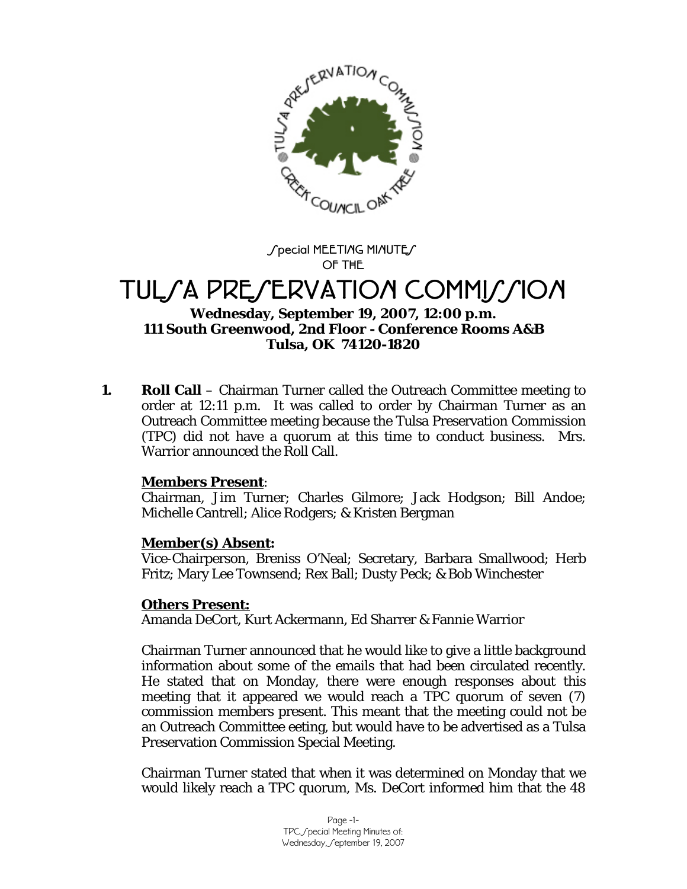

Special MEETIAG MIAUTES **OF THE** 

# TUL*SA PRESERVATION COMMISSION*

## **Wednesday, September 19, 2007, 12:00 p.m. 111 South Greenwood, 2nd Floor - Conference Rooms A&B Tulsa, OK 74120-1820**

**1. Roll Call** – Chairman Turner called the Outreach Committee meeting to order at 12:11 p.m. It was called to order by Chairman Turner as an Outreach Committee meeting because the Tulsa Preservation Commission (TPC) did not have a quorum at this time to conduct business. Mrs. Warrior announced the Roll Call.

### **Members Present**:

Chairman, Jim Turner; Charles Gilmore; Jack Hodgson; Bill Andoe; Michelle Cantrell; Alice Rodgers; & Kristen Bergman

## **Member(s) Absent:**

Vice-Chairperson, Breniss O'Neal; Secretary, Barbara Smallwood; Herb Fritz; Mary Lee Townsend; Rex Ball; Dusty Peck; & Bob Winchester

## **Others Present:**

Amanda DeCort, Kurt Ackermann, Ed Sharrer & Fannie Warrior

Chairman Turner announced that he would like to give a little background information about some of the emails that had been circulated recently. He stated that on Monday, there were enough responses about this meeting that it appeared we would reach a TPC quorum of seven (7) commission members present. This meant that the meeting could not be an Outreach Committee eeting, but would have to be advertised as a Tulsa Preservation Commission Special Meeting.

Chairman Turner stated that when it was determined on Monday that we would likely reach a TPC quorum, Ms. DeCort informed him that the 48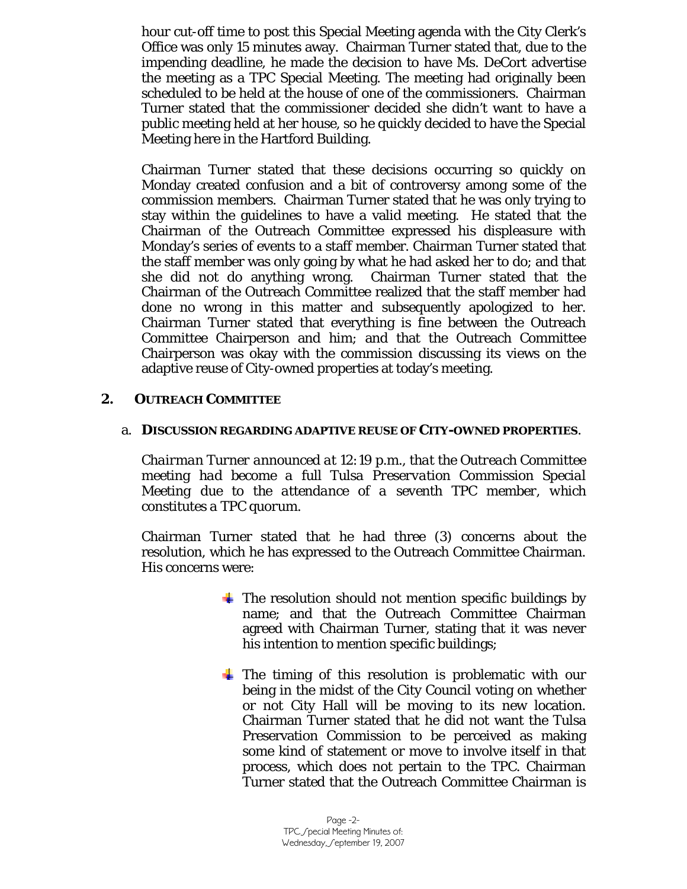hour cut-off time to post this Special Meeting agenda with the City Clerk's Office was only 15 minutes away. Chairman Turner stated that, due to the impending deadline, he made the decision to have Ms. DeCort advertise the meeting as a TPC Special Meeting. The meeting had originally been scheduled to be held at the house of one of the commissioners. Chairman Turner stated that the commissioner decided she didn't want to have a public meeting held at her house, so he quickly decided to have the Special Meeting here in the Hartford Building.

Chairman Turner stated that these decisions occurring so quickly on Monday created confusion and a bit of controversy among some of the commission members. Chairman Turner stated that he was only trying to stay within the guidelines to have a valid meeting. He stated that the Chairman of the Outreach Committee expressed his displeasure with Monday's series of events to a staff member. Chairman Turner stated that the staff member was only going by what he had asked her to do; and that she did not do anything wrong. Chairman Turner stated that the Chairman of the Outreach Committee realized that the staff member had done no wrong in this matter and subsequently apologized to her. Chairman Turner stated that everything is fine between the Outreach Committee Chairperson and him; and that the Outreach Committee Chairperson was okay with the commission discussing its views on the adaptive reuse of City-owned properties at today's meeting.

## **2. OUTREACH COMMITTEE**

### a. **DISCUSSION REGARDING ADAPTIVE REUSE OF CITY-OWNED PROPERTIES**.

*Chairman Turner announced at 12:19 p.m., that the Outreach Committee meeting had become a full Tulsa Preservation Commission Special Meeting due to the attendance of a seventh TPC member, which constitutes a TPC quorum.* 

Chairman Turner stated that he had three (3) concerns about the resolution, which he has expressed to the Outreach Committee Chairman. His concerns were:

- $\pm$  The resolution should not mention specific buildings by name; and that the Outreach Committee Chairman agreed with Chairman Turner, stating that it was never his intention to mention specific buildings;
- $\pm$  The timing of this resolution is problematic with our being in the midst of the City Council voting on whether or not City Hall will be moving to its new location. Chairman Turner stated that he did not want the Tulsa Preservation Commission to be perceived as making some kind of statement or move to involve itself in that process, which does not pertain to the TPC. Chairman Turner stated that the Outreach Committee Chairman is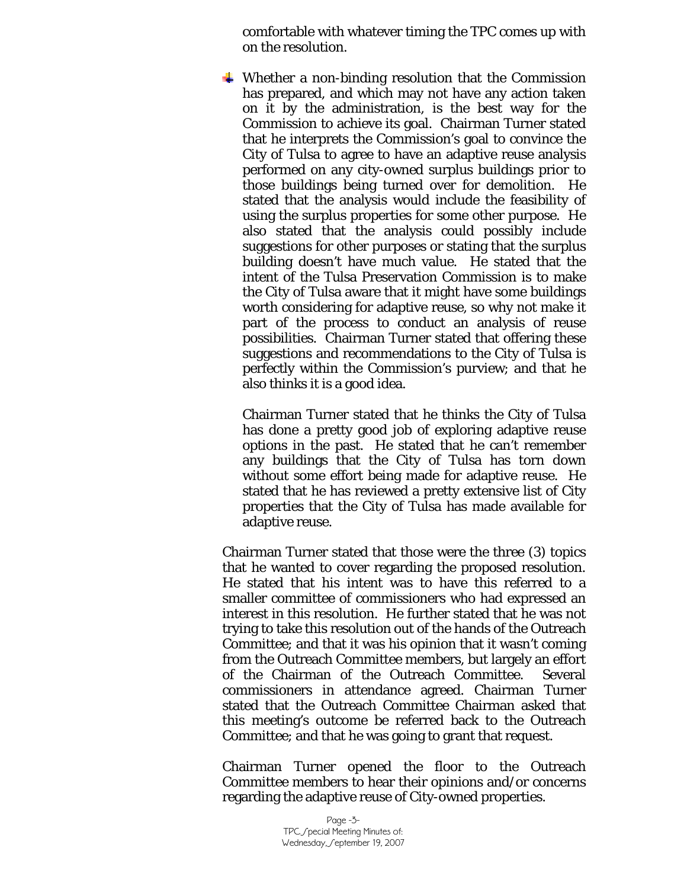comfortable with whatever timing the TPC comes up with on the resolution.

 $\downarrow$  Whether a non-binding resolution that the Commission has prepared, and which may not have any action taken on it by the administration, is the best way for the Commission to achieve its goal. Chairman Turner stated that he interprets the Commission's goal to convince the City of Tulsa to agree to have an adaptive reuse analysis performed on any city-owned surplus buildings prior to those buildings being turned over for demolition. He stated that the analysis would include the feasibility of using the surplus properties for some other purpose. He also stated that the analysis could possibly include suggestions for other purposes or stating that the surplus building doesn't have much value. He stated that the intent of the Tulsa Preservation Commission is to make the City of Tulsa aware that it might have some buildings worth considering for adaptive reuse, so why not make it part of the process to conduct an analysis of reuse possibilities. Chairman Turner stated that offering these suggestions and recommendations to the City of Tulsa is perfectly within the Commission's purview; and that he also thinks it is a good idea.

Chairman Turner stated that he thinks the City of Tulsa has done a pretty good job of exploring adaptive reuse options in the past. He stated that he can't remember any buildings that the City of Tulsa has torn down without some effort being made for adaptive reuse. He stated that he has reviewed a pretty extensive list of City properties that the City of Tulsa has made available for adaptive reuse.

Chairman Turner stated that those were the three (3) topics that he wanted to cover regarding the proposed resolution. He stated that his intent was to have this referred to a smaller committee of commissioners who had expressed an interest in this resolution. He further stated that he was not trying to take this resolution out of the hands of the Outreach Committee; and that it was his opinion that it wasn't coming from the Outreach Committee members, but largely an effort of the Chairman of the Outreach Committee. Several commissioners in attendance agreed. Chairman Turner stated that the Outreach Committee Chairman asked that this meeting's outcome be referred back to the Outreach Committee; and that he was going to grant that request.

Chairman Turner opened the floor to the Outreach Committee members to hear their opinions and/or concerns regarding the adaptive reuse of City-owned properties.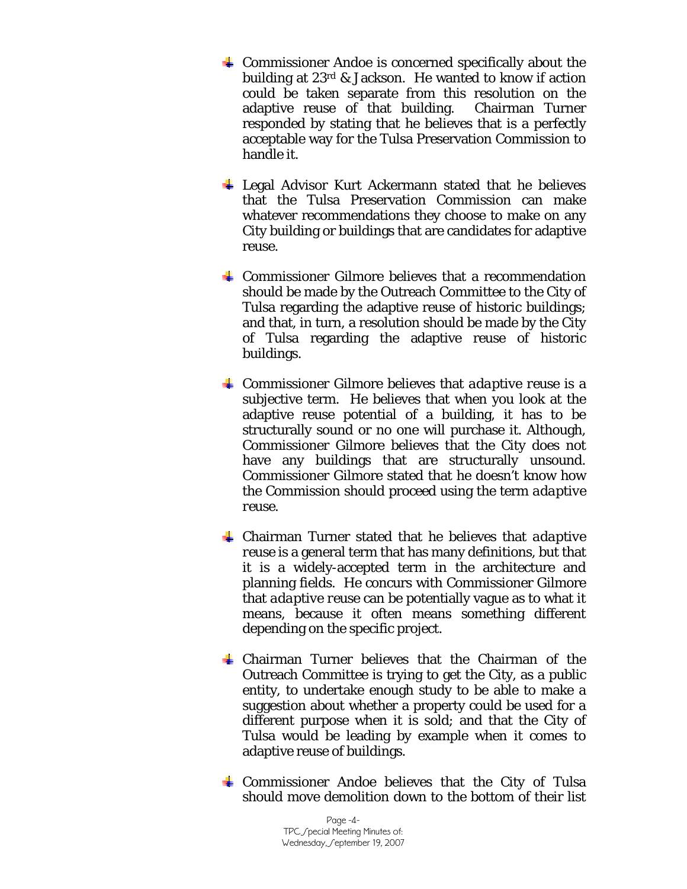- $\overline{\phantom{a} \bullet}$  Commissioner Andoe is concerned specifically about the building at 23rd & Jackson. He wanted to know if action could be taken separate from this resolution on the adaptive reuse of that building. Chairman Turner responded by stating that he believes that is a perfectly acceptable way for the Tulsa Preservation Commission to handle it.
- $\overline{\text{L}}$  Legal Advisor Kurt Ackermann stated that he believes that the Tulsa Preservation Commission can make whatever recommendations they choose to make on any City building or buildings that are candidates for adaptive reuse.
- $\overline{\text{L}}$  Commissioner Gilmore believes that a recommendation should be made by the Outreach Committee to the City of Tulsa regarding the adaptive reuse of historic buildings; and that, in turn, a resolution should be made by the City of Tulsa regarding the adaptive reuse of historic buildings.
- Commissioner Gilmore believes that *adaptive reuse* is a subjective term. He believes that when you look at the adaptive reuse potential of a building, it has to be structurally sound or no one will purchase it. Although, Commissioner Gilmore believes that the City does not have any buildings that are structurally unsound. Commissioner Gilmore stated that he doesn't know how the Commission should proceed using the term *adaptive reuse*.
- Chairman Turner stated that he believes that *adaptive reuse* is a general term that has many definitions, but that it is a widely-accepted term in the architecture and planning fields. He concurs with Commissioner Gilmore that *adaptive reuse* can be potentially vague as to what it means, because it often means something different depending on the specific project.
- $\downarrow$  Chairman Turner believes that the Chairman of the Outreach Committee is trying to get the City, as a public entity, to undertake enough study to be able to make a suggestion about whether a property could be used for a different purpose when it is sold; and that the City of Tulsa would be leading by example when it comes to adaptive reuse of buildings.
- $\overline{\text{L}}$  Commissioner Andoe believes that the City of Tulsa should move demolition down to the bottom of their list

Page -4- TPC Special Meeting Minutes of: Wednesday, Geptember 19, 2007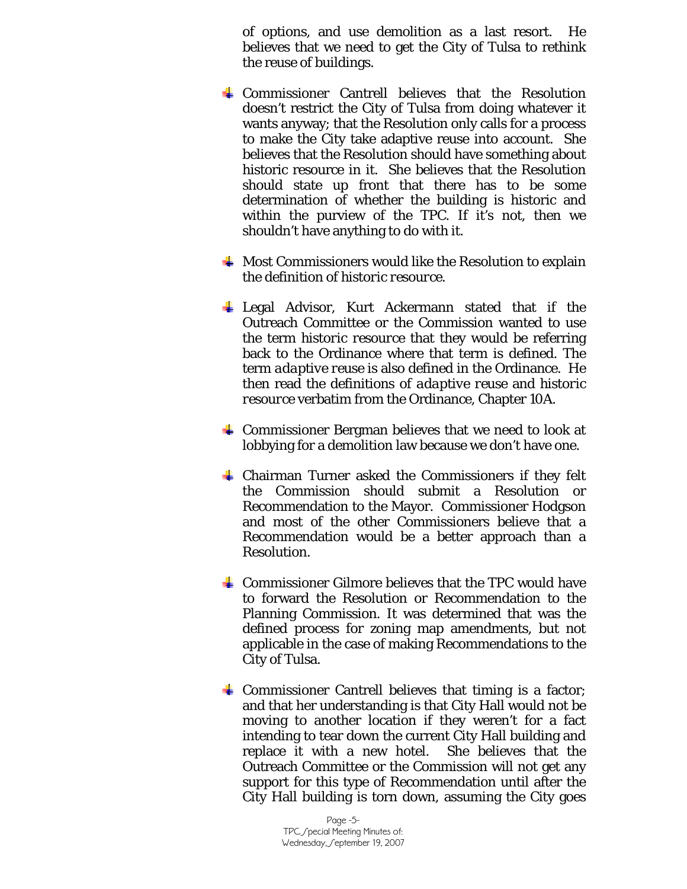of options, and use demolition as a last resort. He believes that we need to get the City of Tulsa to rethink the reuse of buildings.

- Commissioner Cantrell believes that the Resolution doesn't restrict the City of Tulsa from doing whatever it wants anyway; that the Resolution only calls for a process to make the City take adaptive reuse into account. She believes that the Resolution should have something about historic resource in it. She believes that the Resolution should state up front that there has to be some determination of whether the building is historic and within the purview of the TPC. If it's not, then we shouldn't have anything to do with it.
- $\frac{1}{2}$  Most Commissioners would like the Resolution to explain the definition of *historic resource.*
- $\perp$  Legal Advisor, Kurt Ackermann stated that if the Outreach Committee or the Commission wanted to use the term *historic resource* that they would be referring back to the Ordinance where that term is defined. The term *adaptive reuse* is also defined in the Ordinance. He then read the definitions of *adaptive reuse* and *historic resource* verbatim from the Ordinance, Chapter 10A.
- $\frac{1}{\sqrt{2}}$  Commissioner Bergman believes that we need to look at lobbying for a demolition law because we don't have one.
- $\frac{1}{2}$  Chairman Turner asked the Commissioners if they felt the Commission should submit a Resolution or Recommendation to the Mayor. Commissioner Hodgson and most of the other Commissioners believe that a Recommendation would be a better approach than a Resolution.
- $\frac{1}{2}$  Commissioner Gilmore believes that the TPC would have to forward the Resolution or Recommendation to the Planning Commission. It was determined that was the defined process for zoning map amendments, but not applicable in the case of making Recommendations to the City of Tulsa.
- $\overline{\phantom{a}}$  Commissioner Cantrell believes that timing is a factor; and that her understanding is that City Hall would not be moving to another location if they weren't for a fact intending to tear down the current City Hall building and replace it with a new hotel. She believes that the Outreach Committee or the Commission will not get any support for this type of Recommendation until after the City Hall building is torn down, assuming the City goes